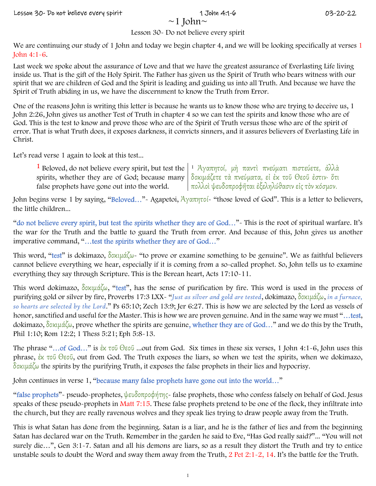We are commuting our state of Extent 12-control. The bitter comparison of the set of the set of the set of the set of the set of the set of the set of the set of the set of the set of the set of the set of the set of the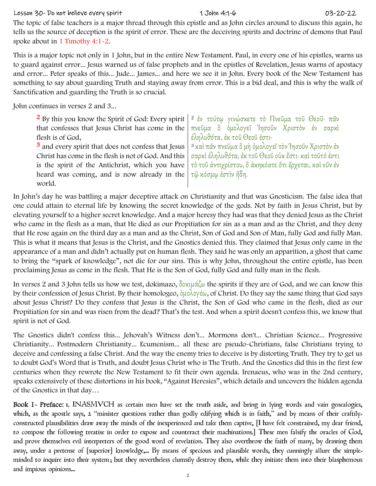# Lesson 30- Do not believe every spirit 1 John 4:1-6 03-20-22

The Que of this becomes is a matter threat distinguish in split a system cannot to the use of the Northeopy of the Northeopy and the statistic statistic statistic statistic statistic statistic statistic statistic statisti